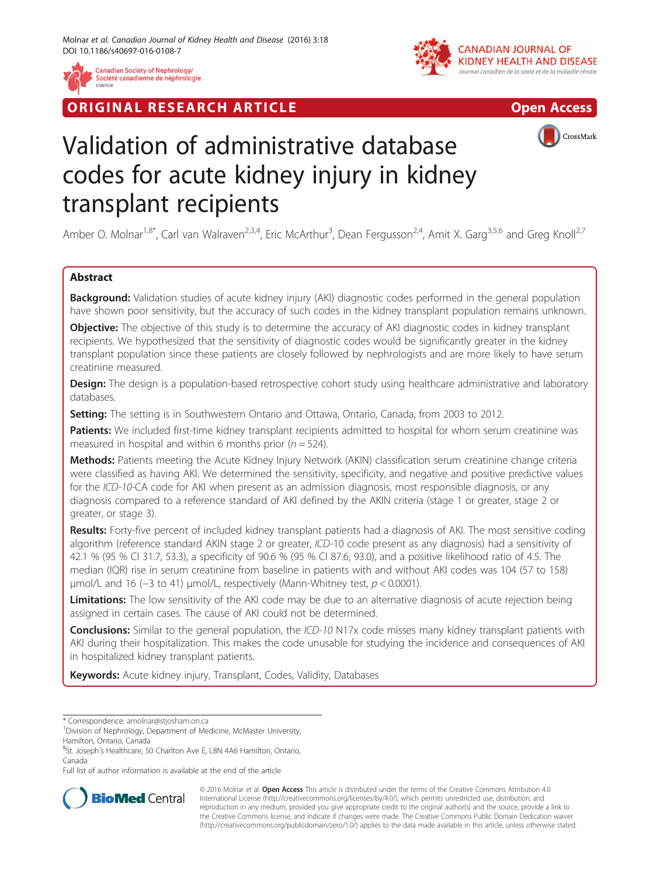

RIGINAL RESEARCH ARTICLE AND CONTROLLER IN THE OPEN ACCESS





# Validation of administrative database codes for acute kidney injury in kidney transplant recipients

Amber O. Molnar<sup>1,8\*</sup>, Carl van Walraven<sup>2,3,4</sup>, Eric McArthur<sup>3</sup>, Dean Fergusson<sup>2,4</sup>, Amit X. Garg<sup>3,5,6</sup> and Greg Knoll<sup>2,7</sup>

# Abstract

Background: Validation studies of acute kidney injury (AKI) diagnostic codes performed in the general population have shown poor sensitivity, but the accuracy of such codes in the kidney transplant population remains unknown.

**Objective:** The objective of this study is to determine the accuracy of AKI diagnostic codes in kidney transplant recipients. We hypothesized that the sensitivity of diagnostic codes would be significantly greater in the kidney transplant population since these patients are closely followed by nephrologists and are more likely to have serum creatinine measured.

Design: The design is a population-based retrospective cohort study using healthcare administrative and laboratory databases.

Setting: The setting is in Southwestern Ontario and Ottawa, Ontario, Canada, from 2003 to 2012.

Patients: We included first-time kidney transplant recipients admitted to hospital for whom serum creatinine was measured in hospital and within 6 months prior ( $n = 524$ ).

Methods: Patients meeting the Acute Kidney Injury Network (AKIN) classification serum creatinine change criteria were classified as having AKI. We determined the sensitivity, specificity, and negative and positive predictive values for the ICD-10-CA code for AKI when present as an admission diagnosis, most responsible diagnosis, or any diagnosis compared to a reference standard of AKI defined by the AKIN criteria (stage 1 or greater, stage 2 or greater, or stage 3).

Results: Forty-five percent of included kidney transplant patients had a diagnosis of AKI. The most sensitive coding algorithm (reference standard AKIN stage 2 or greater, ICD-10 code present as any diagnosis) had a sensitivity of 42.1 % (95 % CI 31.7, 53.3), a specificity of 90.6 % (95 % CI 87.6, 93.0), and a positive likelihood ratio of 4.5. The median (IQR) rise in serum creatinine from baseline in patients with and without AKI codes was 104 (57 to 158)  $\mu$ mol/L and 16 (−3 to 41)  $\mu$ mol/L, respectively (Mann-Whitney test,  $p < 0.0001$ ).

Limitations: The low sensitivity of the AKI code may be due to an alternative diagnosis of acute rejection being assigned in certain cases. The cause of AKI could not be determined.

**Conclusions:** Similar to the general population, the ICD-10 N17x code misses many kidney transplant patients with AKI during their hospitalization. This makes the code unusable for studying the incidence and consequences of AKI in hospitalized kidney transplant patients.

Keywords: Acute kidney injury, Transplant, Codes, Validity, Databases

<sup>8</sup>St. Joseph's Healthcare, 50 Charlton Ave E, L8N 4A6 Hamilton, Ontario, Canada

Full list of author information is available at the end of the article



© 2016 Molnar et al. Open Access This article is distributed under the terms of the Creative Commons Attribution 4.0 International License [\(http://creativecommons.org/licenses/by/4.0/](http://creativecommons.org/licenses/by/4.0/)), which permits unrestricted use, distribution, and reproduction in any medium, provided you give appropriate credit to the original author(s) and the source, provide a link to the Creative Commons license, and indicate if changes were made. The Creative Commons Public Domain Dedication waiver [\(http://creativecommons.org/publicdomain/zero/1.0/](http://creativecommons.org/publicdomain/zero/1.0/)) applies to the data made available in this article, unless otherwise stated.

<sup>\*</sup> Correspondence: [amolnar@stjosham.on.ca](mailto:amolnar@stjosham.on.ca) <sup>1</sup>

<sup>&</sup>lt;sup>1</sup> Division of Nephrology, Department of Medicine, McMaster University, Hamilton, Ontario, Canada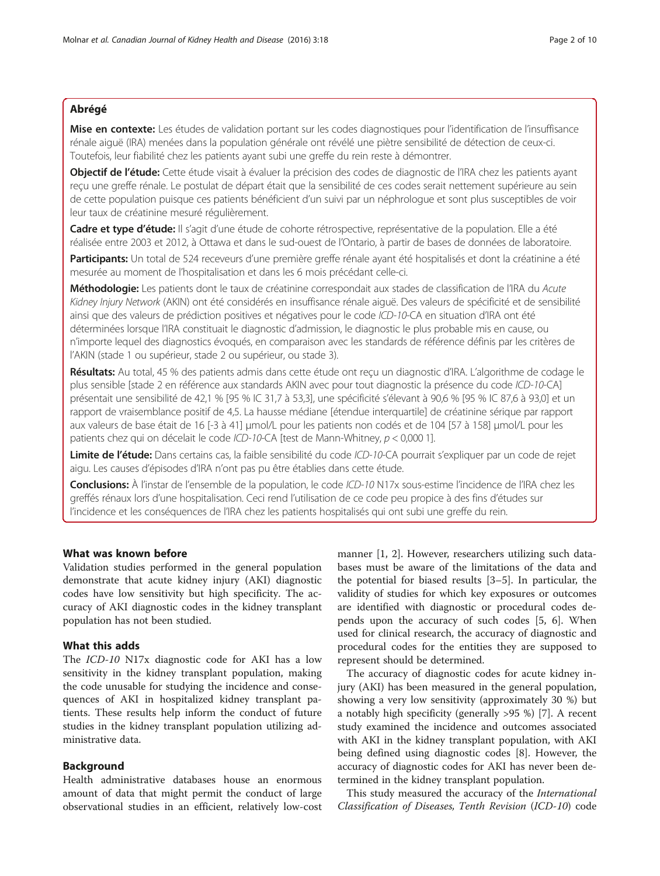# Abrégé

Mise en contexte: Les études de validation portant sur les codes diagnostiques pour l'identification de l'insuffisance rénale aiguë (IRA) menées dans la population générale ont révélé une piètre sensibilité de détection de ceux-ci. Toutefois, leur fiabilité chez les patients ayant subi une greffe du rein reste à démontrer.

Objectif de l'étude: Cette étude visait à évaluer la précision des codes de diagnostic de l'IRA chez les patients ayant reçu une greffe rénale. Le postulat de départ était que la sensibilité de ces codes serait nettement supérieure au sein de cette population puisque ces patients bénéficient d'un suivi par un néphrologue et sont plus susceptibles de voir leur taux de créatinine mesuré régulièrement.

Cadre et type d'étude: Il s'agit d'une étude de cohorte rétrospective, représentative de la population. Elle a été réalisée entre 2003 et 2012, à Ottawa et dans le sud-ouest de l'Ontario, à partir de bases de données de laboratoire.

Participants: Un total de 524 receveurs d'une première greffe rénale ayant été hospitalisés et dont la créatinine a été mesurée au moment de l'hospitalisation et dans les 6 mois précédant celle-ci.

Méthodologie: Les patients dont le taux de créatinine correspondait aux stades de classification de l'IRA du Acute Kidney Injury Network (AKIN) ont été considérés en insuffisance rénale aiguë. Des valeurs de spécificité et de sensibilité ainsi que des valeurs de prédiction positives et négatives pour le code ICD-10-CA en situation d'IRA ont été déterminées lorsque l'IRA constituait le diagnostic d'admission, le diagnostic le plus probable mis en cause, ou n'importe lequel des diagnostics évoqués, en comparaison avec les standards de référence définis par les critères de l'AKIN (stade 1 ou supérieur, stade 2 ou supérieur, ou stade 3).

Résultats: Au total, 45 % des patients admis dans cette étude ont reçu un diagnostic d'IRA. L'algorithme de codage le plus sensible [stade 2 en référence aux standards AKIN avec pour tout diagnostic la présence du code ICD-10-CA] présentait une sensibilité de 42,1 % [95 % IC 31,7 à 53,3], une spécificité s'élevant à 90,6 % [95 % IC 87,6 à 93,0] et un rapport de vraisemblance positif de 4,5. La hausse médiane [étendue interquartile] de créatinine sérique par rapport aux valeurs de base était de 16 [-3 à 41] μmol/L pour les patients non codés et de 104 [57 à 158] μmol/L pour les patients chez qui on décelait le code ICD-10-CA [test de Mann-Whitney, p < 0,000 1].

Limite de l'étude: Dans certains cas, la faible sensibilité du code ICD-10-CA pourrait s'expliquer par un code de rejet aigu. Les causes d'épisodes d'IRA n'ont pas pu être établies dans cette étude.

Conclusions: À l'instar de l'ensemble de la population, le code ICD-10 N17x sous-estime l'incidence de l'IRA chez les greffés rénaux lors d'une hospitalisation. Ceci rend l'utilisation de ce code peu propice à des fins d'études sur l'incidence et les conséquences de l'IRA chez les patients hospitalisés qui ont subi une greffe du rein.

#### What was known before

Validation studies performed in the general population demonstrate that acute kidney injury (AKI) diagnostic codes have low sensitivity but high specificity. The accuracy of AKI diagnostic codes in the kidney transplant population has not been studied.

# What this adds

The ICD-10 N17x diagnostic code for AKI has a low sensitivity in the kidney transplant population, making the code unusable for studying the incidence and consequences of AKI in hospitalized kidney transplant patients. These results help inform the conduct of future studies in the kidney transplant population utilizing administrative data.

#### Background

Health administrative databases house an enormous amount of data that might permit the conduct of large observational studies in an efficient, relatively low-cost

manner [[1, 2\]](#page-9-0). However, researchers utilizing such databases must be aware of the limitations of the data and the potential for biased results [\[3](#page-9-0)–[5\]](#page-9-0). In particular, the validity of studies for which key exposures or outcomes are identified with diagnostic or procedural codes depends upon the accuracy of such codes [\[5](#page-9-0), [6](#page-9-0)]. When used for clinical research, the accuracy of diagnostic and procedural codes for the entities they are supposed to represent should be determined.

The accuracy of diagnostic codes for acute kidney injury (AKI) has been measured in the general population, showing a very low sensitivity (approximately 30 %) but a notably high specificity (generally >95 %) [\[7](#page-9-0)]. A recent study examined the incidence and outcomes associated with AKI in the kidney transplant population, with AKI being defined using diagnostic codes [[8](#page-9-0)]. However, the accuracy of diagnostic codes for AKI has never been determined in the kidney transplant population.

This study measured the accuracy of the International Classification of Diseases, Tenth Revision (ICD-10) code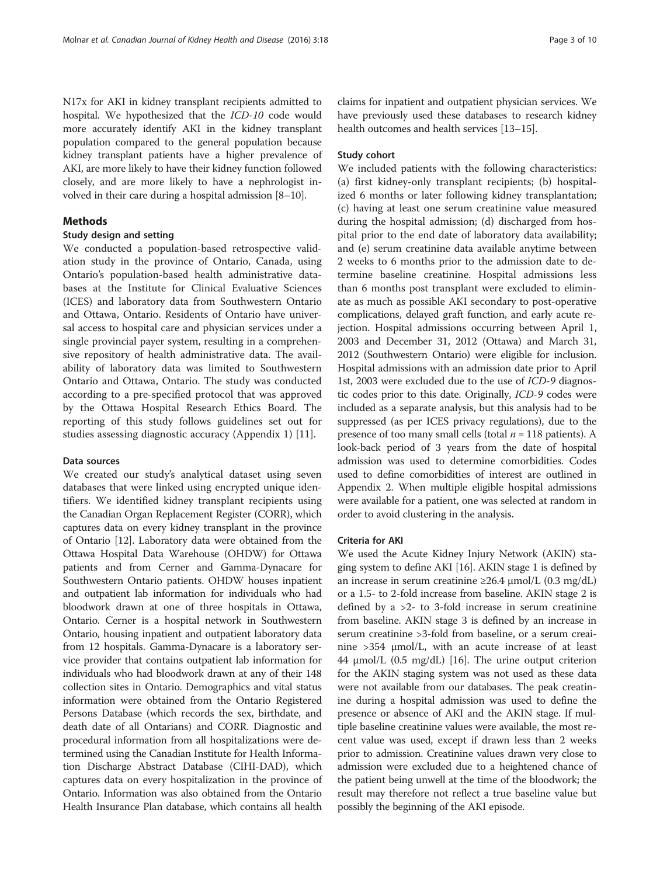N17x for AKI in kidney transplant recipients admitted to hospital. We hypothesized that the ICD-10 code would more accurately identify AKI in the kidney transplant population compared to the general population because kidney transplant patients have a higher prevalence of AKI, are more likely to have their kidney function followed closely, and are more likely to have a nephrologist involved in their care during a hospital admission [\[8](#page-9-0)–[10\]](#page-9-0).

#### Methods

#### Study design and setting

We conducted a population-based retrospective validation study in the province of Ontario, Canada, using Ontario's population-based health administrative databases at the Institute for Clinical Evaluative Sciences (ICES) and laboratory data from Southwestern Ontario and Ottawa, Ontario. Residents of Ontario have universal access to hospital care and physician services under a single provincial payer system, resulting in a comprehensive repository of health administrative data. The availability of laboratory data was limited to Southwestern Ontario and Ottawa, Ontario. The study was conducted according to a pre-specified protocol that was approved by the Ottawa Hospital Research Ethics Board. The reporting of this study follows guidelines set out for studies assessing diagnostic accuracy (Appendix [1\)](#page-6-0) [\[11\]](#page-9-0).

#### Data sources

We created our study's analytical dataset using seven databases that were linked using encrypted unique identifiers. We identified kidney transplant recipients using the Canadian Organ Replacement Register (CORR), which captures data on every kidney transplant in the province of Ontario [[12](#page-9-0)]. Laboratory data were obtained from the Ottawa Hospital Data Warehouse (OHDW) for Ottawa patients and from Cerner and Gamma-Dynacare for Southwestern Ontario patients. OHDW houses inpatient and outpatient lab information for individuals who had bloodwork drawn at one of three hospitals in Ottawa, Ontario. Cerner is a hospital network in Southwestern Ontario, housing inpatient and outpatient laboratory data from 12 hospitals. Gamma-Dynacare is a laboratory service provider that contains outpatient lab information for individuals who had bloodwork drawn at any of their 148 collection sites in Ontario. Demographics and vital status information were obtained from the Ontario Registered Persons Database (which records the sex, birthdate, and death date of all Ontarians) and CORR. Diagnostic and procedural information from all hospitalizations were determined using the Canadian Institute for Health Information Discharge Abstract Database (CIHI-DAD), which captures data on every hospitalization in the province of Ontario. Information was also obtained from the Ontario Health Insurance Plan database, which contains all health

claims for inpatient and outpatient physician services. We have previously used these databases to research kidney health outcomes and health services [[13](#page-9-0)–[15\]](#page-9-0).

#### Study cohort

We included patients with the following characteristics: (a) first kidney-only transplant recipients; (b) hospitalized 6 months or later following kidney transplantation; (c) having at least one serum creatinine value measured during the hospital admission; (d) discharged from hospital prior to the end date of laboratory data availability; and (e) serum creatinine data available anytime between 2 weeks to 6 months prior to the admission date to determine baseline creatinine. Hospital admissions less than 6 months post transplant were excluded to eliminate as much as possible AKI secondary to post-operative complications, delayed graft function, and early acute rejection. Hospital admissions occurring between April 1, 2003 and December 31, 2012 (Ottawa) and March 31, 2012 (Southwestern Ontario) were eligible for inclusion. Hospital admissions with an admission date prior to April 1st, 2003 were excluded due to the use of ICD-9 diagnostic codes prior to this date. Originally, ICD-9 codes were included as a separate analysis, but this analysis had to be suppressed (as per ICES privacy regulations), due to the presence of too many small cells (total  $n = 118$  patients). A look-back period of 3 years from the date of hospital admission was used to determine comorbidities. Codes used to define comorbidities of interest are outlined in Appendix [2](#page-7-0). When multiple eligible hospital admissions were available for a patient, one was selected at random in order to avoid clustering in the analysis.

#### Criteria for AKI

We used the Acute Kidney Injury Network (AKIN) staging system to define AKI [\[16\]](#page-9-0). AKIN stage 1 is defined by an increase in serum creatinine  $\geq 26.4$  μmol/L (0.3 mg/dL) or a 1.5- to 2-fold increase from baseline. AKIN stage 2 is defined by a >2- to 3-fold increase in serum creatinine from baseline. AKIN stage 3 is defined by an increase in serum creatinine >3-fold from baseline, or a serum creainine >354 μmol/L, with an acute increase of at least 44 μmol/L (0.5 mg/dL) [[16\]](#page-9-0). The urine output criterion for the AKIN staging system was not used as these data were not available from our databases. The peak creatinine during a hospital admission was used to define the presence or absence of AKI and the AKIN stage. If multiple baseline creatinine values were available, the most recent value was used, except if drawn less than 2 weeks prior to admission. Creatinine values drawn very close to admission were excluded due to a heightened chance of the patient being unwell at the time of the bloodwork; the result may therefore not reflect a true baseline value but possibly the beginning of the AKI episode.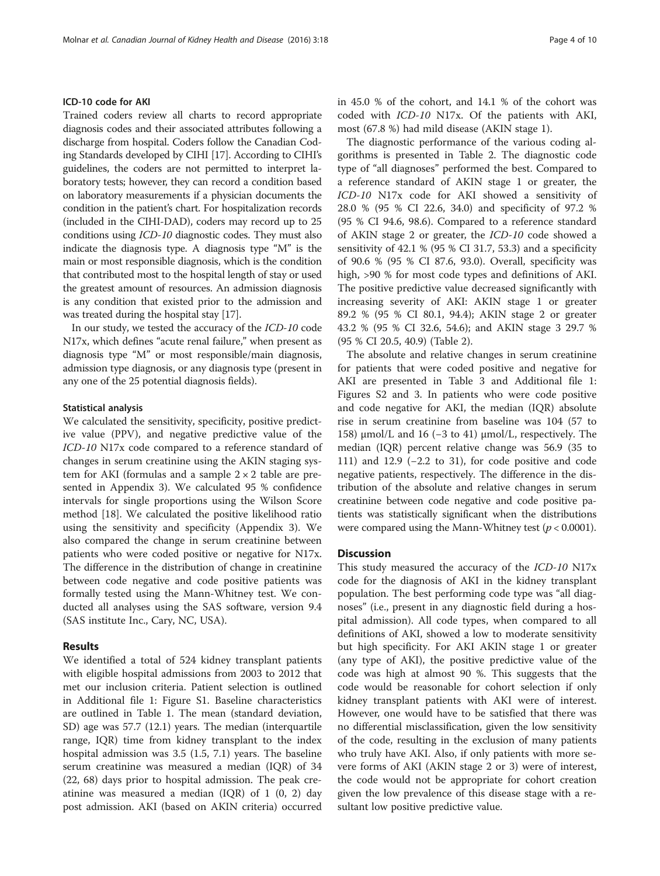#### ICD-10 code for AKI

Trained coders review all charts to record appropriate diagnosis codes and their associated attributes following a discharge from hospital. Coders follow the Canadian Coding Standards developed by CIHI [[17](#page-9-0)]. According to CIHI's guidelines, the coders are not permitted to interpret laboratory tests; however, they can record a condition based on laboratory measurements if a physician documents the condition in the patient's chart. For hospitalization records (included in the CIHI-DAD), coders may record up to 25 conditions using ICD-10 diagnostic codes. They must also indicate the diagnosis type. A diagnosis type "M" is the main or most responsible diagnosis, which is the condition that contributed most to the hospital length of stay or used the greatest amount of resources. An admission diagnosis is any condition that existed prior to the admission and was treated during the hospital stay [\[17\]](#page-9-0).

In our study, we tested the accuracy of the ICD-10 code N17x, which defines "acute renal failure," when present as diagnosis type "M" or most responsible/main diagnosis, admission type diagnosis, or any diagnosis type (present in any one of the 25 potential diagnosis fields).

#### Statistical analysis

We calculated the sensitivity, specificity, positive predictive value (PPV), and negative predictive value of the ICD-10 N17x code compared to a reference standard of changes in serum creatinine using the AKIN staging system for AKI (formulas and a sample  $2 \times 2$  table are presented in Appendix [3](#page-8-0)). We calculated 95 % confidence intervals for single proportions using the Wilson Score method [[18\]](#page-9-0). We calculated the positive likelihood ratio using the sensitivity and specificity (Appendix [3\)](#page-8-0). We also compared the change in serum creatinine between patients who were coded positive or negative for N17x. The difference in the distribution of change in creatinine between code negative and code positive patients was formally tested using the Mann-Whitney test. We conducted all analyses using the SAS software, version 9.4 (SAS institute Inc., Cary, NC, USA).

#### Results

We identified a total of 524 kidney transplant patients with eligible hospital admissions from 2003 to 2012 that met our inclusion criteria. Patient selection is outlined in Additional file [1:](#page-8-0) Figure S1. Baseline characteristics are outlined in Table [1.](#page-4-0) The mean (standard deviation, SD) age was 57.7 (12.1) years. The median (interquartile range, IQR) time from kidney transplant to the index hospital admission was 3.5 (1.5, 7.1) years. The baseline serum creatinine was measured a median (IQR) of 34 (22, 68) days prior to hospital admission. The peak creatinine was measured a median  $(IQR)$  of 1  $(0, 2)$  day post admission. AKI (based on AKIN criteria) occurred in 45.0 % of the cohort, and 14.1 % of the cohort was coded with ICD-10 N17x. Of the patients with AKI, most (67.8 %) had mild disease (AKIN stage 1).

The diagnostic performance of the various coding algorithms is presented in Table [2.](#page-5-0) The diagnostic code type of "all diagnoses" performed the best. Compared to a reference standard of AKIN stage 1 or greater, the ICD-10 N17x code for AKI showed a sensitivity of 28.0 % (95 % CI 22.6, 34.0) and specificity of 97.2 % (95 % CI 94.6, 98.6). Compared to a reference standard of AKIN stage 2 or greater, the ICD-10 code showed a sensitivity of 42.1 % (95 % CI 31.7, 53.3) and a specificity of 90.6 % (95 % CI 87.6, 93.0). Overall, specificity was high, >90 % for most code types and definitions of AKI. The positive predictive value decreased significantly with increasing severity of AKI: AKIN stage 1 or greater 89.2 % (95 % CI 80.1, 94.4); AKIN stage 2 or greater 43.2 % (95 % CI 32.6, 54.6); and AKIN stage 3 29.7 % (95 % CI 20.5, 40.9) (Table [2](#page-5-0)).

The absolute and relative changes in serum creatinine for patients that were coded positive and negative for AKI are presented in Table [3](#page-6-0) and Additional file [1](#page-8-0): Figures S2 and 3. In patients who were code positive and code negative for AKI, the median (IQR) absolute rise in serum creatinine from baseline was 104 (57 to 158) μmol/L and 16 (−3 to 41) μmol/L, respectively. The median (IQR) percent relative change was 56.9 (35 to 111) and 12.9 (−2.2 to 31), for code positive and code negative patients, respectively. The difference in the distribution of the absolute and relative changes in serum creatinine between code negative and code positive patients was statistically significant when the distributions were compared using the Mann-Whitney test ( $p < 0.0001$ ).

#### **Discussion**

This study measured the accuracy of the ICD-10 N17x code for the diagnosis of AKI in the kidney transplant population. The best performing code type was "all diagnoses" (i.e., present in any diagnostic field during a hospital admission). All code types, when compared to all definitions of AKI, showed a low to moderate sensitivity but high specificity. For AKI AKIN stage 1 or greater (any type of AKI), the positive predictive value of the code was high at almost 90 %. This suggests that the code would be reasonable for cohort selection if only kidney transplant patients with AKI were of interest. However, one would have to be satisfied that there was no differential misclassification, given the low sensitivity of the code, resulting in the exclusion of many patients who truly have AKI. Also, if only patients with more severe forms of AKI (AKIN stage 2 or 3) were of interest, the code would not be appropriate for cohort creation given the low prevalence of this disease stage with a resultant low positive predictive value.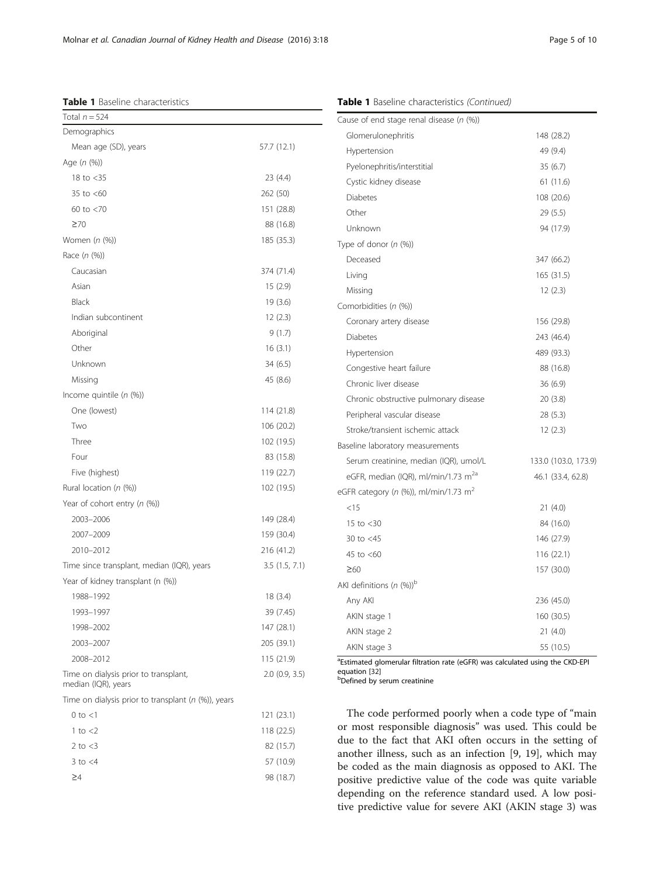<span id="page-4-0"></span>Molnar et al. Canadian Journal of Kidney Health and Disease (2016) 3:18 Page 5 of 10

#### Table 1 Baseline characteristics

#### Table 1 Baseline characteristics (Continued)

| Total $n = 524$                                              |               |
|--------------------------------------------------------------|---------------|
| Demographics                                                 |               |
| Mean age (SD), years                                         | 57.7 (12.1)   |
| Age (n (%))                                                  |               |
| 18 to $<$ 35                                                 | 23 (4.4)      |
| 35 to $<$ 60                                                 | 262 (50)      |
| 60 to $<$ 70                                                 | 151 (28.8)    |
| $\geq 70$                                                    | 88 (16.8)     |
| Women (n (%))                                                | 185 (35.3)    |
| Race (n (%))                                                 |               |
| Caucasian                                                    | 374 (71.4)    |
| Asian                                                        | 15 (2.9)      |
| Black                                                        | 19(3.6)       |
| Indian subcontinent                                          | 12(2.3)       |
| Aboriginal                                                   | 9(1.7)        |
| Other                                                        | 16(3.1)       |
| Unknown                                                      | 34 (6.5)      |
| Missing                                                      | 45 (8.6)      |
| Income quintile $(n \, (\%)$                                 |               |
| One (lowest)                                                 | 114 (21.8)    |
| Two                                                          | 106 (20.2)    |
| Three                                                        | 102 (19.5)    |
| Four                                                         | 83 (15.8)     |
| Five (highest)                                               | 119 (22.7)    |
| Rural location $(n \, (\%)$                                  | 102 (19.5)    |
| Year of cohort entry (n (%))                                 |               |
| 2003-2006                                                    | 149 (28.4)    |
| 2007-2009                                                    | 159 (30.4)    |
| 2010-2012                                                    | 216 (41.2)    |
| Time since transplant, median (IQR), years                   | 3.5(1.5, 7.1) |
| Year of kidney transplant (n (%))                            |               |
| 1988-1992                                                    | 18(3.4)       |
| 1993-1997                                                    | 39 (7.45)     |
| 1998-2002                                                    | 147 (28.1)    |
| 2003-2007                                                    | 205 (39.1)    |
| 2008-2012                                                    | 115 (21.9)    |
| Time on dialysis prior to transplant,<br>median (IQR), years | 2.0(0.9, 3.5) |
| Time on dialysis prior to transplant ( $n$ (%)), years       |               |
| $0$ to $<$ 1                                                 | 121 (23.1)    |
| 1 to $<$ 2                                                   | 118 (22.5)    |
| 2 to $<$ 3                                                   | 82 (15.7)     |
| $3$ to $<$ 4                                                 | 57 (10.9)     |
| ≧4                                                           | 98 (18.7)     |
|                                                              |               |
|                                                              |               |

| Cause of end stage renal disease ( $n$ (%))     |                      |
|-------------------------------------------------|----------------------|
| Glomerulonephritis                              | 148 (28.2)           |
| Hypertension                                    | 49 (9.4)             |
| Pyelonephritis/interstitial                     | 35(6.7)              |
| Cystic kidney disease                           | 61 (11.6)            |
| <b>Diabetes</b>                                 | 108 (20.6)           |
| Other                                           | 29(5.5)              |
| Unknown                                         | 94 (17.9)            |
| Type of donor $(n \, (\%)$                      |                      |
| Deceased                                        | 347 (66.2)           |
| Living                                          | 165 (31.5)           |
| Missing                                         | 12(2.3)              |
| Comorbidities (n (%))                           |                      |
| Coronary artery disease                         | 156 (29.8)           |
| <b>Diabetes</b>                                 | 243 (46.4)           |
| Hypertension                                    | 489 (93.3)           |
| Congestive heart failure                        | 88 (16.8)            |
| Chronic liver disease                           | 36(6.9)              |
| Chronic obstructive pulmonary disease           | 20(3.8)              |
| Peripheral vascular disease                     | 28 (5.3)             |
| Stroke/transient ischemic attack                | 12(2.3)              |
| Baseline laboratory measurements                |                      |
| Serum creatinine, median (IQR), umol/L          | 133.0 (103.0, 173.9) |
| eGFR, median (IQR), ml/min/1.73 m <sup>2a</sup> | 46.1 (33.4, 62.8)    |
| eGFR category (n (%)), ml/min/1.73 $m2$         |                      |
| $<$ 15                                          | 21(4.0)              |
| 15 to $<$ 30                                    | 84 (16.0)            |
| 30 to $<$ 45                                    | 146 (27.9)           |
| 45 to <60                                       | 116 (22.1)           |
| $\geq 60$                                       | 157 (30.0)           |
| AKI definitions (n $(\%)^p$                     |                      |
| Any AKI                                         | 236 (45.0)           |
| AKIN stage 1                                    | 160 (30.5)           |
| AKIN stage 2                                    | 21(4.0)              |
| AKIN stage 3                                    | 55 (10.5)            |

<sup>a</sup>Estimated glomerular filtration rate (eGFR) was calculated using the CKD-EPI equation [[32](#page-9-0)]

**Defined by serum creatinine** 

The code performed poorly when a code type of "main or most responsible diagnosis" was used. This could be due to the fact that AKI often occurs in the setting of another illness, such as an infection [\[9](#page-9-0), [19\]](#page-9-0), which may be coded as the main diagnosis as opposed to AKI. The positive predictive value of the code was quite variable depending on the reference standard used. A low positive predictive value for severe AKI (AKIN stage 3) was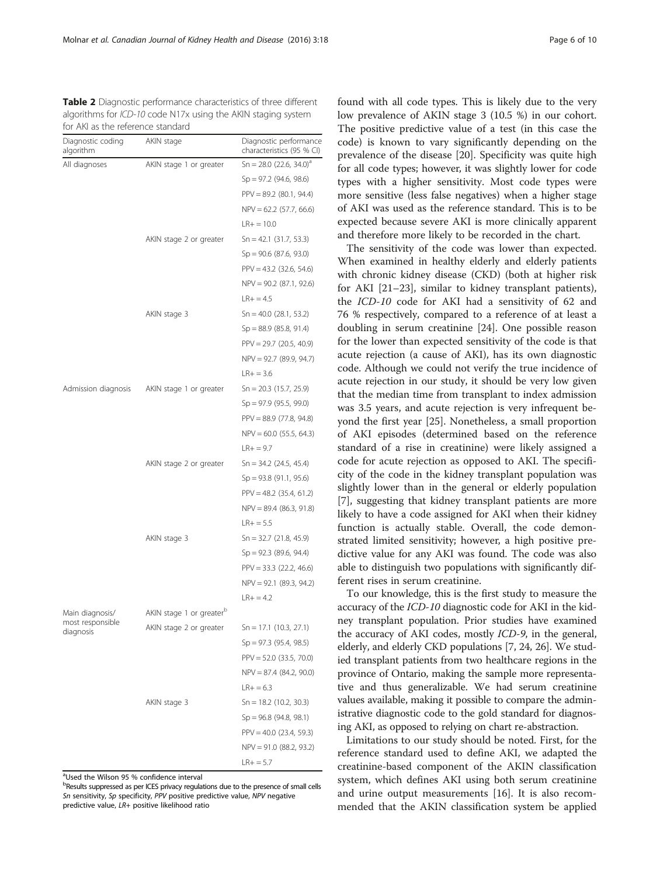<span id="page-5-0"></span>Molnar et al. Canadian Journal of Kidney Health and Disease (2016) 3:18 Page 6 of 10

Table 2 Diagnostic performance characteristics of three different algorithms for ICD-10 code N17x using the AKIN staging system for AKI as the reference standard

| Diagnostic coding<br>algorithm | AKIN stage               | Diagnostic performance<br>characteristics (95 % CI) |
|--------------------------------|--------------------------|-----------------------------------------------------|
| All diagnoses                  | AKIN stage 1 or greater  | $Sn = 28.0$ (22.6, 34.0) <sup>a</sup>               |
|                                |                          | $Sp = 97.2$ (94.6, 98.6)                            |
|                                |                          | $PPV = 89.2$ (80.1, 94.4)                           |
|                                |                          | $NPV = 62.2$ (57.7, 66.6)                           |
|                                |                          | $LR+ = 10.0$                                        |
|                                | AKIN stage 2 or greater  | $Sn = 42.1$ (31.7, 53.3)                            |
|                                |                          | $Sp = 90.6$ (87.6, 93.0)                            |
|                                |                          | $PPV = 43.2$ (32.6, 54.6)                           |
|                                |                          | $NPV = 90.2$ (87.1, 92.6)                           |
|                                |                          | $LR+ = 4.5$                                         |
|                                | AKIN stage 3             | $Sn = 40.0$ (28.1, 53.2)                            |
|                                |                          | $Sp = 88.9$ (85.8, 91.4)                            |
|                                |                          | $PPV = 29.7$ (20.5, 40.9)                           |
|                                |                          | NPV = 92.7 (89.9, 94.7)                             |
|                                |                          | $LR+ = 3.6$                                         |
| Admission diagnosis            | AKIN stage 1 or greater  | $Sn = 20.3$ (15.7, 25.9)                            |
|                                |                          | $Sp = 97.9$ (95.5, 99.0)                            |
|                                |                          | $PPV = 88.9$ (77.8, 94.8)                           |
|                                |                          | $NPV = 60.0$ (55.5, 64.3)                           |
|                                |                          | $LR+ = 9.7$                                         |
|                                | AKIN stage 2 or greater  | $Sn = 34.2$ (24.5, 45.4)                            |
|                                |                          | $Sp = 93.8$ (91.1, 95.6)                            |
|                                |                          | $PPV = 48.2$ (35.4, 61.2)                           |
|                                |                          | $NPV = 89.4$ (86.3, 91.8)                           |
|                                |                          | $LR+ = 5.5$                                         |
|                                | AKIN stage 3             | $Sn = 32.7 (21.8, 45.9)$                            |
|                                |                          | $Sp = 92.3$ (89.6, 94.4)                            |
|                                |                          | $PPV = 33.3$ (22.2, 46.6)                           |
|                                |                          | NPV = 92.1 (89.3, 94.2)                             |
|                                |                          | $LR + = 4.2$                                        |
| Main diagnosis/                | AKIN stage 1 or greaterb |                                                     |
| most responsible<br>diagnosis  | AKIN stage 2 or greater  | $Sn = 17.1 (10.3, 27.1)$                            |
|                                |                          | $Sp = 97.3$ (95.4, 98.5)                            |
|                                |                          | PPV = 52.0 (33.5, 70.0)                             |
|                                |                          | $NPV = 87.4$ (84.2, 90.0)                           |
|                                |                          | $LR+ = 6.3$                                         |
|                                | AKIN stage 3             | $Sn = 18.2$ (10.2, 30.3)                            |
|                                |                          | $Sp = 96.8$ (94.8, 98.1)                            |
|                                |                          | $PPV = 40.0$ (23.4, 59.3)                           |
|                                |                          | $NPV = 91.0$ (88.2, 93.2)                           |
|                                |                          | $LR+ = 5.7$                                         |

<sup>a</sup>Used the Wilson 95 % confidence interval

<sup>b</sup>Results suppressed as per ICES privacy regulations due to the presence of small cells Sn sensitivity, Sp specificity, PPV positive predictive value, NPV negative predictive value, LR+ positive likelihood ratio

found with all code types. This is likely due to the very low prevalence of AKIN stage 3 (10.5 %) in our cohort. The positive predictive value of a test (in this case the code) is known to vary significantly depending on the prevalence of the disease [\[20](#page-9-0)]. Specificity was quite high for all code types; however, it was slightly lower for code types with a higher sensitivity. Most code types were more sensitive (less false negatives) when a higher stage of AKI was used as the reference standard. This is to be expected because severe AKI is more clinically apparent and therefore more likely to be recorded in the chart.

The sensitivity of the code was lower than expected. When examined in healthy elderly and elderly patients with chronic kidney disease (CKD) (both at higher risk for AKI [[21](#page-9-0)–[23](#page-9-0)], similar to kidney transplant patients), the ICD-10 code for AKI had a sensitivity of 62 and 76 % respectively, compared to a reference of at least a doubling in serum creatinine [\[24\]](#page-9-0). One possible reason for the lower than expected sensitivity of the code is that acute rejection (a cause of AKI), has its own diagnostic code. Although we could not verify the true incidence of acute rejection in our study, it should be very low given that the median time from transplant to index admission was 3.5 years, and acute rejection is very infrequent beyond the first year [\[25](#page-9-0)]. Nonetheless, a small proportion of AKI episodes (determined based on the reference standard of a rise in creatinine) were likely assigned a code for acute rejection as opposed to AKI. The specificity of the code in the kidney transplant population was slightly lower than in the general or elderly population [[7\]](#page-9-0), suggesting that kidney transplant patients are more likely to have a code assigned for AKI when their kidney function is actually stable. Overall, the code demonstrated limited sensitivity; however, a high positive predictive value for any AKI was found. The code was also able to distinguish two populations with significantly different rises in serum creatinine.

To our knowledge, this is the first study to measure the accuracy of the ICD-10 diagnostic code for AKI in the kidney transplant population. Prior studies have examined the accuracy of AKI codes, mostly ICD-9, in the general, elderly, and elderly CKD populations [\[7, 24](#page-9-0), [26\]](#page-9-0). We studied transplant patients from two healthcare regions in the province of Ontario, making the sample more representative and thus generalizable. We had serum creatinine values available, making it possible to compare the administrative diagnostic code to the gold standard for diagnosing AKI, as opposed to relying on chart re-abstraction.

Limitations to our study should be noted. First, for the reference standard used to define AKI, we adapted the creatinine-based component of the AKIN classification system, which defines AKI using both serum creatinine and urine output measurements [\[16\]](#page-9-0). It is also recommended that the AKIN classification system be applied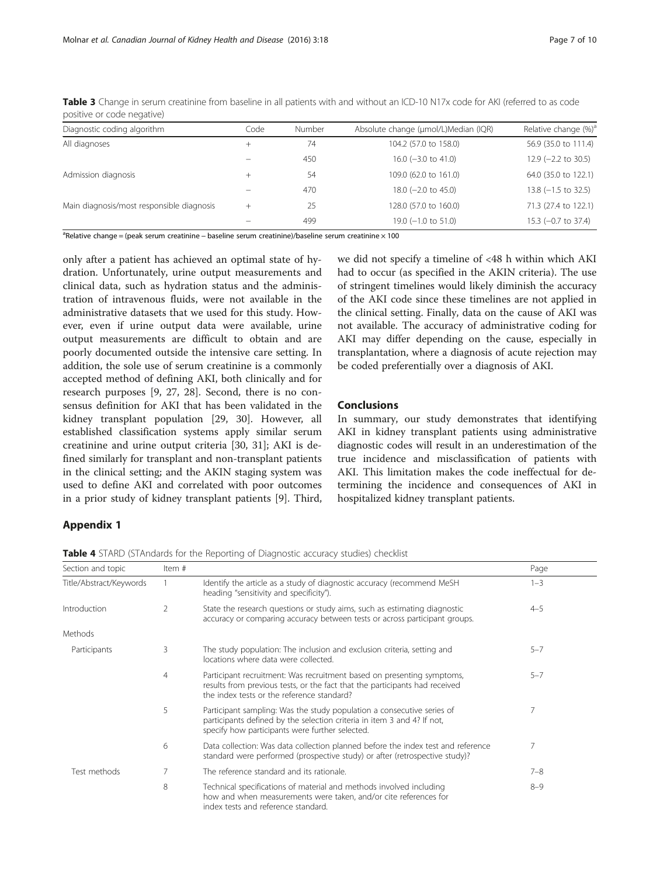| Diagnostic coding algorithm               | Code   | Number | Absolute change (µmol/L)Median (IQR) | Relative change (%) <sup>a</sup> |
|-------------------------------------------|--------|--------|--------------------------------------|----------------------------------|
| All diagnoses                             | $^+$   | 74     | 104.2 (57.0 to 158.0)                | 56.9 (35.0 to 111.4)             |
|                                           |        | 450    | 16.0 $(-3.0 \text{ to } 41.0)$       | $12.9$ (-2.2 to 30.5)            |
| Admission diagnosis                       | $^{+}$ | 54     | 109.0 (62.0 to 161.0)                | 64.0 (35.0 to 122.1)             |
|                                           |        | 470    | $18.0$ (-2.0 to 45.0)                | $13.8$ (-1.5 to 32.5)            |
| Main diagnosis/most responsible diagnosis | $\! +$ | 25     | 128.0 (57.0 to 160.0)                | 71.3 (27.4 to 122.1)             |
|                                           |        | 499    | $19.0$ (-1.0 to 51.0)                | 15.3 (-0.7 to 37.4)              |

<span id="page-6-0"></span>Table 3 Change in serum creatinine from baseline in all patients with and without an ICD-10 N17x code for AKI (referred to as code positive or code negative)

<sup>a</sup>Relative change = (peak serum creatinine – baseline serum creatinine)/baseline serum creatinine × 100

only after a patient has achieved an optimal state of hydration. Unfortunately, urine output measurements and clinical data, such as hydration status and the administration of intravenous fluids, were not available in the administrative datasets that we used for this study. However, even if urine output data were available, urine output measurements are difficult to obtain and are poorly documented outside the intensive care setting. In addition, the sole use of serum creatinine is a commonly accepted method of defining AKI, both clinically and for research purposes [[9, 27, 28](#page-9-0)]. Second, there is no consensus definition for AKI that has been validated in the kidney transplant population [[29, 30](#page-9-0)]. However, all established classification systems apply similar serum creatinine and urine output criteria [[30, 31](#page-9-0)]; AKI is defined similarly for transplant and non-transplant patients in the clinical setting; and the AKIN staging system was used to define AKI and correlated with poor outcomes in a prior study of kidney transplant patients [\[9](#page-9-0)]. Third,

we did not specify a timeline of <48 h within which AKI had to occur (as specified in the AKIN criteria). The use of stringent timelines would likely diminish the accuracy of the AKI code since these timelines are not applied in the clinical setting. Finally, data on the cause of AKI was not available. The accuracy of administrative coding for AKI may differ depending on the cause, especially in transplantation, where a diagnosis of acute rejection may be coded preferentially over a diagnosis of AKI.

#### Conclusions

In summary, our study demonstrates that identifying AKI in kidney transplant patients using administrative diagnostic codes will result in an underestimation of the true incidence and misclassification of patients with AKI. This limitation makes the code ineffectual for determining the incidence and consequences of AKI in hospitalized kidney transplant patients.

### Appendix 1

**Table 4** STARD (STAndards for the Reporting of Diagnostic accuracy studies) checklist

| Section and topic       | Item#          |                                                                                                                                                                                                      | Page    |
|-------------------------|----------------|------------------------------------------------------------------------------------------------------------------------------------------------------------------------------------------------------|---------|
| Title/Abstract/Keywords |                | Identify the article as a study of diagnostic accuracy (recommend MeSH<br>heading "sensitivity and specificity").                                                                                    | $1 - 3$ |
| Introduction            | 2              | State the research questions or study aims, such as estimating diagnostic<br>accuracy or comparing accuracy between tests or across participant groups.                                              | $4 - 5$ |
| Methods                 |                |                                                                                                                                                                                                      |         |
| Participants            | 3              | The study population: The inclusion and exclusion criteria, setting and<br>locations where data were collected.                                                                                      | $5 - 7$ |
|                         | $\overline{4}$ | Participant recruitment: Was recruitment based on presenting symptoms,<br>results from previous tests, or the fact that the participants had received<br>the index tests or the reference standard?  | $5 - 7$ |
|                         | 5              | Participant sampling: Was the study population a consecutive series of<br>participants defined by the selection criteria in item 3 and 4? If not,<br>specify how participants were further selected. |         |
|                         | 6              | Data collection: Was data collection planned before the index test and reference<br>standard were performed (prospective study) or after (retrospective study)?                                      | 7       |
| Test methods            | 7              | The reference standard and its rationale.                                                                                                                                                            | $7 - 8$ |
|                         | 8              | Technical specifications of material and methods involved including<br>how and when measurements were taken, and/or cite references for<br>index tests and reference standard.                       | $8 - 9$ |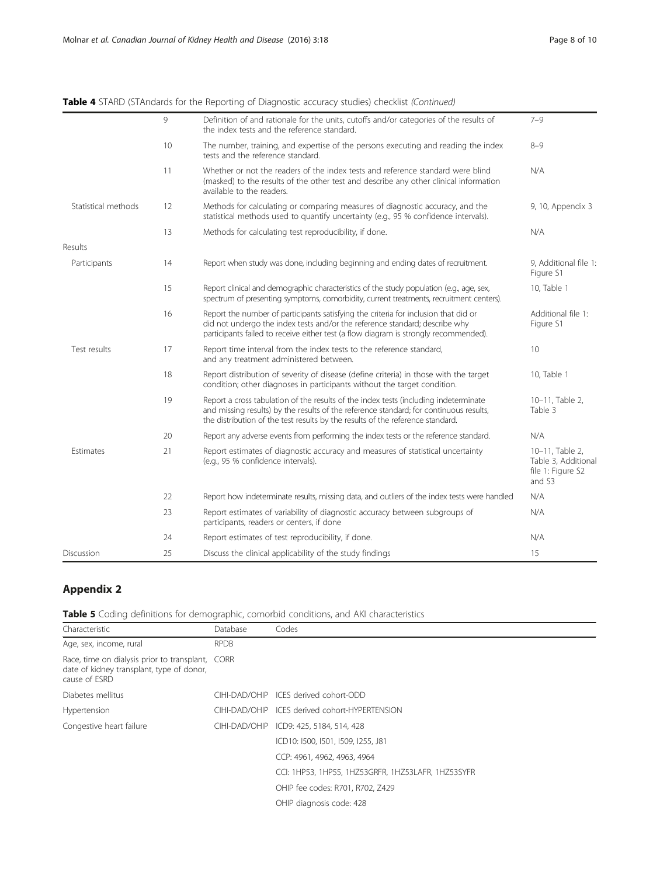<span id="page-7-0"></span>

| Table 4 STARD (STAndards for the Reporting of Diagnostic accuracy studies) checklist (Continued) |
|--------------------------------------------------------------------------------------------------|
|--------------------------------------------------------------------------------------------------|

|                     | 9  | Definition of and rationale for the units, cutoffs and/or categories of the results of<br>the index tests and the reference standard.                                                                                                                            | $7 - 9$                                                               |
|---------------------|----|------------------------------------------------------------------------------------------------------------------------------------------------------------------------------------------------------------------------------------------------------------------|-----------------------------------------------------------------------|
|                     | 10 | The number, training, and expertise of the persons executing and reading the index<br>tests and the reference standard.                                                                                                                                          | $8 - 9$                                                               |
|                     | 11 | Whether or not the readers of the index tests and reference standard were blind<br>(masked) to the results of the other test and describe any other clinical information<br>available to the readers.                                                            | N/A                                                                   |
| Statistical methods | 12 | Methods for calculating or comparing measures of diagnostic accuracy, and the<br>statistical methods used to quantify uncertainty (e.g., 95 % confidence intervals).                                                                                             | 9, 10, Appendix 3                                                     |
|                     | 13 | Methods for calculating test reproducibility, if done.                                                                                                                                                                                                           | N/A                                                                   |
| Results             |    |                                                                                                                                                                                                                                                                  |                                                                       |
| Participants        | 14 | Report when study was done, including beginning and ending dates of recruitment.                                                                                                                                                                                 | 9, Additional file 1:<br>Figure S1                                    |
|                     | 15 | Report clinical and demographic characteristics of the study population (e.g., age, sex,<br>spectrum of presenting symptoms, comorbidity, current treatments, recruitment centers).                                                                              | 10, Table 1                                                           |
|                     | 16 | Report the number of participants satisfying the criteria for inclusion that did or<br>did not undergo the index tests and/or the reference standard; describe why<br>participants failed to receive either test (a flow diagram is strongly recommended).       | Additional file 1:<br>Figure S1                                       |
| Test results        | 17 | Report time interval from the index tests to the reference standard,<br>and any treatment administered between.                                                                                                                                                  | 10                                                                    |
|                     | 18 | Report distribution of severity of disease (define criteria) in those with the target<br>condition; other diagnoses in participants without the target condition.                                                                                                | 10, Table 1                                                           |
|                     | 19 | Report a cross tabulation of the results of the index tests (including indeterminate<br>and missing results) by the results of the reference standard; for continuous results,<br>the distribution of the test results by the results of the reference standard. | 10-11, Table 2,<br>Table 3                                            |
|                     | 20 | Report any adverse events from performing the index tests or the reference standard.                                                                                                                                                                             | N/A                                                                   |
| Estimates           | 21 | Report estimates of diagnostic accuracy and measures of statistical uncertainty<br>(e.g., 95 % confidence intervals).                                                                                                                                            | 10-11, Table 2,<br>Table 3, Additional<br>file 1: Figure S2<br>and S3 |
|                     | 22 | Report how indeterminate results, missing data, and outliers of the index tests were handled                                                                                                                                                                     | N/A                                                                   |
|                     | 23 | Report estimates of variability of diagnostic accuracy between subgroups of<br>participants, readers or centers, if done                                                                                                                                         | N/A                                                                   |
|                     | 24 | Report estimates of test reproducibility, if done.                                                                                                                                                                                                               | N/A                                                                   |
| Discussion          | 25 | Discuss the clinical applicability of the study findings                                                                                                                                                                                                         | 15                                                                    |

# Appendix 2

|  |  | Table 5 Coding definitions for demographic, comorbid conditions, and AKI characteristics |  |  |  |  |  |
|--|--|------------------------------------------------------------------------------------------|--|--|--|--|--|
|--|--|------------------------------------------------------------------------------------------|--|--|--|--|--|

| Characteristic                                                                                                 | Database      | Codes                                              |
|----------------------------------------------------------------------------------------------------------------|---------------|----------------------------------------------------|
| Age, sex, income, rural                                                                                        | <b>RPDB</b>   |                                                    |
| Race, time on dialysis prior to transplant, CORR<br>date of kidney transplant, type of donor,<br>cause of ESRD |               |                                                    |
| Diabetes mellitus                                                                                              | CIHI-DAD/OHIP | ICES derived cohort-ODD                            |
| Hypertension                                                                                                   | CIHI-DAD/OHIP | ICES derived cohort-HYPERTENSION                   |
| Congestive heart failure                                                                                       | CIHI-DAD/OHIP | ICD9: 425, 5184, 514, 428                          |
|                                                                                                                |               | ICD10: I500, I501, I509, I255, J81                 |
|                                                                                                                |               | CCP: 4961, 4962, 4963, 4964                        |
|                                                                                                                |               | CCI: 1HP53, 1HP55, 1HZ53GRFR, 1HZ53LAFR, 1HZ53SYFR |
|                                                                                                                |               | OHIP fee codes: R701, R702, Z429                   |
|                                                                                                                |               | OHIP diagnosis code: 428                           |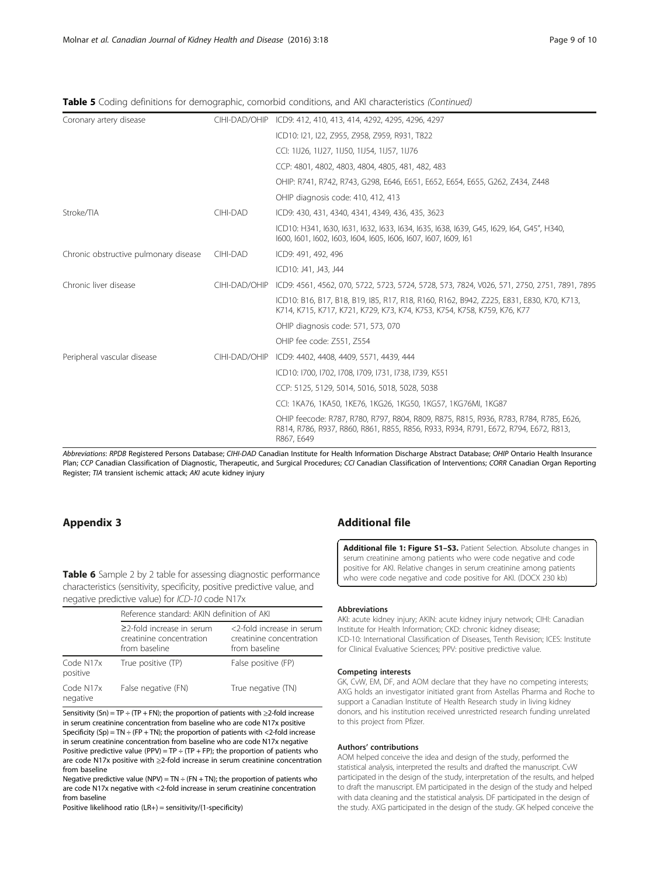<span id="page-8-0"></span>

|  |  |  | Table 5 Coding definitions for demographic, comorbid conditions, and AKI characteristics (Continued) |  |
|--|--|--|------------------------------------------------------------------------------------------------------|--|
|  |  |  |                                                                                                      |  |

| Coronary artery disease               | CIHI-DAD/OHIP | ICD9: 412, 410, 413, 414, 4292, 4295, 4296, 4297                                                                                                                                           |
|---------------------------------------|---------------|--------------------------------------------------------------------------------------------------------------------------------------------------------------------------------------------|
|                                       |               | ICD10: I21, I22, Z955, Z958, Z959, R931, T822                                                                                                                                              |
|                                       |               | CCI: 11J26, 11J27, 11J50, 11J54, 11J57, 11J76                                                                                                                                              |
|                                       |               | CCP: 4801, 4802, 4803, 4804, 4805, 481, 482, 483                                                                                                                                           |
|                                       |               | OHIP: R741, R742, R743, G298, E646, E651, E652, E654, E655, G262, Z434, Z448                                                                                                               |
|                                       |               | OHIP diagnosis code: 410, 412, 413                                                                                                                                                         |
| Stroke/TIA                            | CIHI-DAD      | ICD9: 430, 431, 4340, 4341, 4349, 436, 435, 3623                                                                                                                                           |
|                                       |               | ICD10: H341, I630, I631, I632, I633, I634, I635, I638, I639, G45, I629, I64, G45", H340,<br>1600, 1601, 1602, 1603, 1604, 1605, 1606, 1607, 1607, 1609, 161                                |
| Chronic obstructive pulmonary disease | CIHI-DAD      | ICD9: 491, 492, 496                                                                                                                                                                        |
|                                       |               | ICD10: J41, J43, J44                                                                                                                                                                       |
| Chronic liver disease                 | CIHI-DAD/OHIP | ICD9: 4561, 4562, 070, 5722, 5723, 5724, 5728, 573, 7824, V026, 571, 2750, 2751, 7891, 7895                                                                                                |
|                                       |               | ICD10: B16, B17, B18, B19, I85, R17, R18, R160, R162, B942, Z225, E831, E830, K70, K713,<br>K714, K715, K717, K721, K729, K73, K74, K753, K754, K758, K759, K76, K77                       |
|                                       |               | OHIP diagnosis code: 571, 573, 070                                                                                                                                                         |
|                                       |               | OHIP fee code: Z551, Z554                                                                                                                                                                  |
| Peripheral vascular disease           | CIHI-DAD/OHIP | ICD9: 4402, 4408, 4409, 5571, 4439, 444                                                                                                                                                    |
|                                       |               | ICD10: I700, I702, I708, I709, I731, I738, I739, K551                                                                                                                                      |
|                                       |               | CCP: 5125, 5129, 5014, 5016, 5018, 5028, 5038                                                                                                                                              |
|                                       |               | CCI: 1KA76, 1KA50, 1KE76, 1KG26, 1KG50, 1KG57, 1KG76MI, 1KG87                                                                                                                              |
|                                       |               | OHIP feecode: R787, R780, R797, R804, R809, R875, R815, R936, R783, R784, R785, E626,<br>R814, R786, R937, R860, R861, R855, R856, R933, R934, R791, E672, R794, E672, R813,<br>R867, E649 |

Abbreviations: RPDB Registered Persons Database; CIHI-DAD Canadian Institute for Health Information Discharge Abstract Database; OHIP Ontario Health Insurance Plan; CCP Canadian Classification of Diagnostic, Therapeutic, and Surgical Procedures; CCI Canadian Classification of Interventions; CORR Canadian Organ Reporting Register; TIA transient ischemic attack; AKI acute kidney injury

Table 6 Sample 2 by 2 table for assessing diagnostic performance characteristics (sensitivity, specificity, positive predictive value, and negative predictive value) for ICD-10 code N17x

|                       | Reference standard: AKIN definition of AKI                                   |                                                                        |  |  |  |  |
|-----------------------|------------------------------------------------------------------------------|------------------------------------------------------------------------|--|--|--|--|
|                       | $\geq$ 2-fold increase in serum<br>creatinine concentration<br>from baseline | <2-fold increase in serum<br>creatinine concentration<br>from baseline |  |  |  |  |
| Code N17x<br>positive | True positive (TP)                                                           | False positive (FP)                                                    |  |  |  |  |
| Code N17x<br>negative | False negative (FN)                                                          | True negative (TN)                                                     |  |  |  |  |

Sensitivity (Sn) = TP ÷ (TP + FN); the proportion of patients with  $\geq$ 2-fold increase in serum creatinine concentration from baseline who are code N17x positive Specificity (Sp) = TN  $\div$  (FP + TN); the proportion of patients with <2-fold increase in serum creatinine concentration from baseline who are code N17x negative Positive predictive value (PPV) =  $TP \div (TP + FP)$ ; the proportion of patients who are code N17x positive with ≥2-fold increase in serum creatinine concentration from baseline

Negative predictive value (NPV) = TN  $\div$  (FN + TN); the proportion of patients who are code N17x negative with <2-fold increase in serum creatinine concentration from baseline

Positive likelihood ratio (LR+) = sensitivity/(1-specificity)

# Appendix 3 Additional file

[Additional file 1: Figure S1](dx.doi.org/10.1186/s40697-016-0108-7)-S3. Patient Selection. Absolute changes in serum creatinine among patients who were code negative and code positive for AKI. Relative changes in serum creatinine among patients who were code negative and code positive for AKI. (DOCX 230 kb)

#### **Abbreviations**

AKI: acute kidney injury; AKIN: acute kidney injury network; CIHI: Canadian Institute for Health Information; CKD: chronic kidney disease; ICD-10: International Classification of Diseases, Tenth Revision; ICES: Institute for Clinical Evaluative Sciences; PPV: positive predictive value.

#### Competing interests

GK, CvW, EM, DF, and AOM declare that they have no competing interests; AXG holds an investigator initiated grant from Astellas Pharma and Roche to support a Canadian Institute of Health Research study in living kidney donors, and his institution received unrestricted research funding unrelated to this project from Pfizer.

#### Authors' contributions

AOM helped conceive the idea and design of the study, performed the statistical analysis, interpreted the results and drafted the manuscript. CvW participated in the design of the study, interpretation of the results, and helped to draft the manuscript. EM participated in the design of the study and helped with data cleaning and the statistical analysis. DF participated in the design of the study. AXG participated in the design of the study. GK helped conceive the